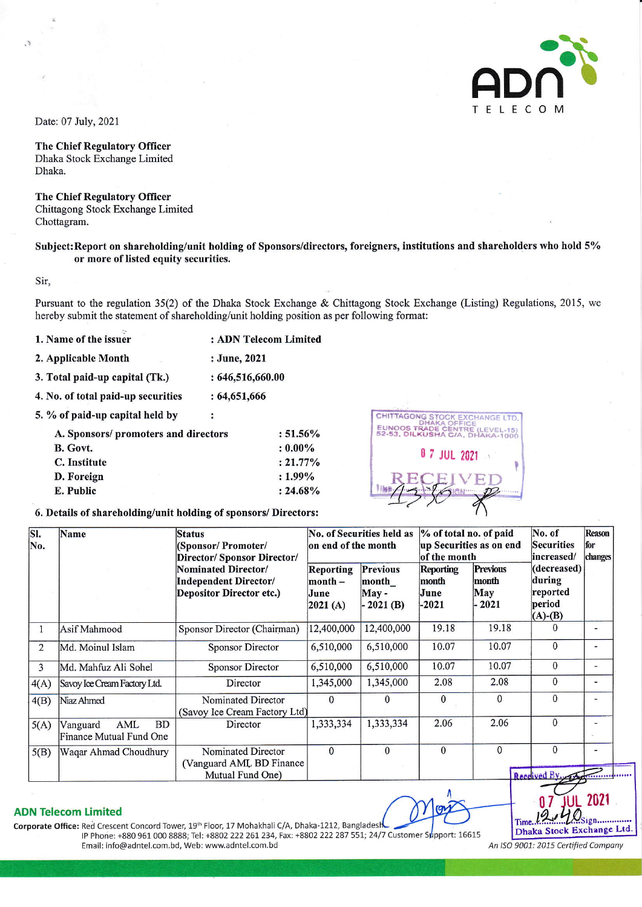

Date: 07 July, 2021

**The Chief Regulatory Officer** Dhaka Stock Exchange Limited Dhaka.

**The Chief Regulatory Officer** Chittagong Stock Exchange Limited Chottagram.

## Subject: Report on shareholding/unit holding of Sponsors/directors, foreigners, institutions and shareholders who hold 5% or more of listed equity securities.

Sir,

Pursuant to the regulation 35(2) of the Dhaka Stock Exchange & Chittagong Stock Exchange (Listing) Regulations, 2015, we hereby submit the statement of shareholding/unit holding position as per following format:

- 1. Name of the issuer : ADN Telecom Limited
- 2. Applicable Month : June, 2021
- 3. Total paid-up capital (Tk.)  $: 646, 516, 660.00$
- 4. No. of total paid-up securities  $: 64,651,666$
- 5. % of paid-up capital held by

| A. Sponsors/ promoters and directors | $: 51.56\%$ |
|--------------------------------------|-------------|
| B. Govt.                             | $: 0.00\%$  |
| C. Institute                         | $: 21.77\%$ |
| D. Foreign                           | $: 1.99\%$  |
| E. Public                            | $: 24.68\%$ |

 $\ddot{\cdot}$ 



## 6. Details of shareholding/unit holding of sponsors/ Directors:

| SI.         | Name                                                    | <b>Status</b>                                                                                                  | No. of Securities held as                 |                                                 | % of total no. of paid                                       |                                            | No. of                                                                     | <b>Reason</b> |
|-------------|---------------------------------------------------------|----------------------------------------------------------------------------------------------------------------|-------------------------------------------|-------------------------------------------------|--------------------------------------------------------------|--------------------------------------------|----------------------------------------------------------------------------|---------------|
| No.         |                                                         | (Sponsor/Promoter/                                                                                             | on end of the month                       |                                                 | up Securities as on end                                      |                                            | <b>Securities</b>                                                          | for           |
|             |                                                         | Director/ Sponsor Director/<br>Nominated Director/<br>Independent Director/<br><b>Depositor Director etc.)</b> | Reporting<br>$month -$<br>June<br>2021(A) | <b>Previous</b><br>month<br>May -<br>$-2021(B)$ | of the month<br><b>Reporting</b><br>month<br>June<br>$-2021$ | <b>Previous</b><br>month<br>May<br>$-2021$ | increased/<br>(decreased)<br>during<br>reported<br>period<br>$(A)$ - $(B)$ | changes       |
| $\mathbf 1$ | Asif Mahmood                                            | Sponsor Director (Chairman)                                                                                    | 12,400,000                                | 12,400,000                                      | 19.18                                                        | 19.18                                      | $\Omega$                                                                   |               |
| 2           | Md. Moinul Islam                                        | <b>Sponsor Director</b>                                                                                        | 6,510,000                                 | 6,510,000                                       | 10.07                                                        | 10.07                                      | $\Omega$                                                                   | ۰             |
| 3           | Md. Mahfuz Ali Sohel                                    | Sponsor Director                                                                                               | 6,510,000                                 | 6,510,000                                       | 10.07                                                        | 10.07                                      | $\theta$                                                                   |               |
| 4(A)        | Savoy Ice Cream Factory Ltd.                            | Director                                                                                                       | 1,345,000                                 | 1,345,000                                       | 2.08                                                         | 2.08                                       | $\mathbf{0}$                                                               |               |
| 4(B)        | Niaz Ahmed                                              | Nominated Director<br>(Savoy Ice Cream Factory Ltd)                                                            | $\Omega$                                  | 0                                               | $\mathbf{0}$                                                 | 0                                          | $\theta$                                                                   | -             |
| 5(A)        | <b>BD</b><br>AML<br>Vanguard<br>Finance Mutual Fund One | Director                                                                                                       | 1,333,334                                 | 1,333,334                                       | 2.06                                                         | 2.06                                       | $\mathbf{0}$                                                               |               |
| 5(B)        | Waqar Ahmad Choudhury                                   | Nominated Director<br>(Vanguard AML BD Finance)                                                                | $\Omega$                                  | $\Omega$                                        | $\Omega$                                                     | $\mathbf{0}$                               | $\mathbf{0}$                                                               |               |
|             |                                                         | Mutual Fund One)                                                                                               |                                           |                                                 |                                                              |                                            | Received By.                                                               |               |

## **ADN Telecom Limited**

Corporate Office: Red Crescent Concord Tower, 19th Floor, 17 Mohakhali C/A, Dhaka-1212, Bangladesh IP Phone: +880 961 000 8888; Tel: +8802 222 261 234, Fax: +8802 222 287 551; 24/7 Customer Support: 16615 Email: info@adntel.com.bd, Web: www.adntel.com.bd

Time Dhaka Stock Exchange Ltd.

An ISO 9001: 2015 Certified Company